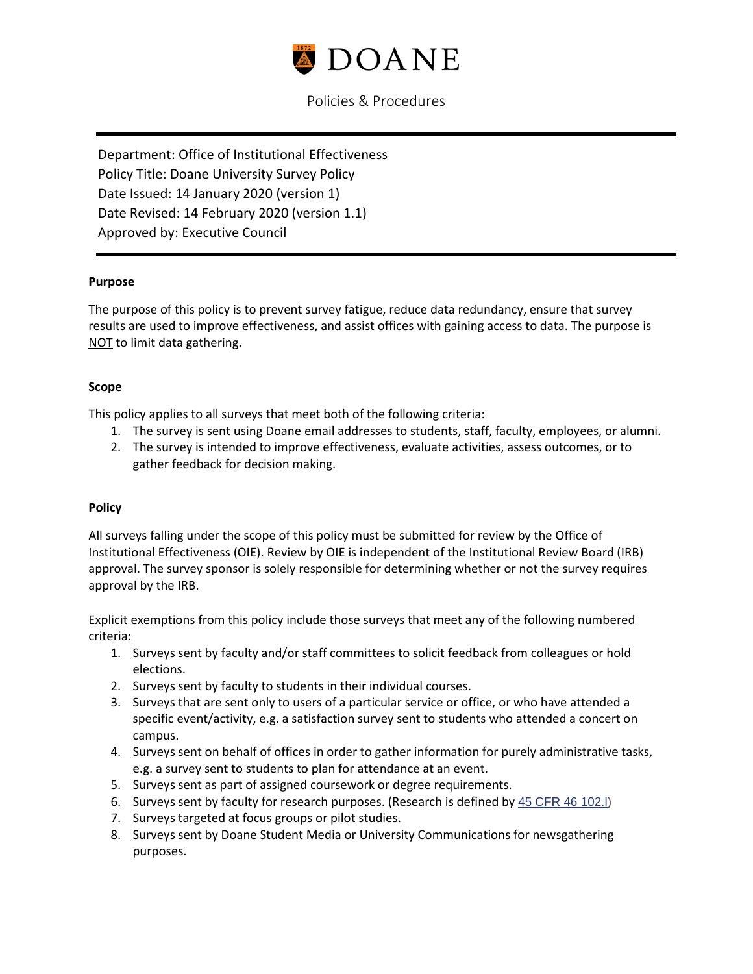

# Policies & Procedures

Department: Office of Institutional Effectiveness Policy Title: Doane University Survey Policy Date Issued: 14 January 2020 (version 1) Date Revised: 14 February 2020 (version 1.1) Approved by: Executive Council

#### **Purpose**

The purpose of this policy is to prevent survey fatigue, reduce data redundancy, ensure that survey results are used to improve effectiveness, and assist offices with gaining access to data. The purpose is NOT to limit data gathering.

#### **Scope**

This policy applies to all surveys that meet both of the following criteria:

- 1. The survey is sent using Doane email addresses to students, staff, faculty, employees, or alumni.
- 2. The survey is intended to improve effectiveness, evaluate activities, assess outcomes, or to gather feedback for decision making.

### **Policy**

All surveys falling under the scope of this policy must be submitted for review by the Office of Institutional Effectiveness (OIE). Review by OIE is independent of the Institutional Review Board (IRB) approval. The survey sponsor is solely responsible for determining whether or not the survey requires approval by the IRB.

Explicit exemptions from this policy include those surveys that meet any of the following numbered criteria:

- 1. Surveys sent by faculty and/or staff committees to solicit feedback from colleagues or hold elections.
- 2. Surveys sent by faculty to students in their individual courses.
- 3. Surveys that are sent only to users of a particular service or office, or who have attended a specific event/activity, e.g. a satisfaction survey sent to students who attended a concert on campus.
- 4. Surveys sent on behalf of offices in order to gather information for purely administrative tasks, e.g. a survey sent to students to plan for attendance at an event.
- 5. Surveys sent as part of assigned coursework or degree requirements.
- 6. Surveys sent by faculty for research purposes. (Research is defined by 45 CFR 46 102.1)
- 7. Surveys targeted at focus groups or pilot studies.
- 8. Surveys sent by Doane Student Media or University Communications for newsgathering purposes.